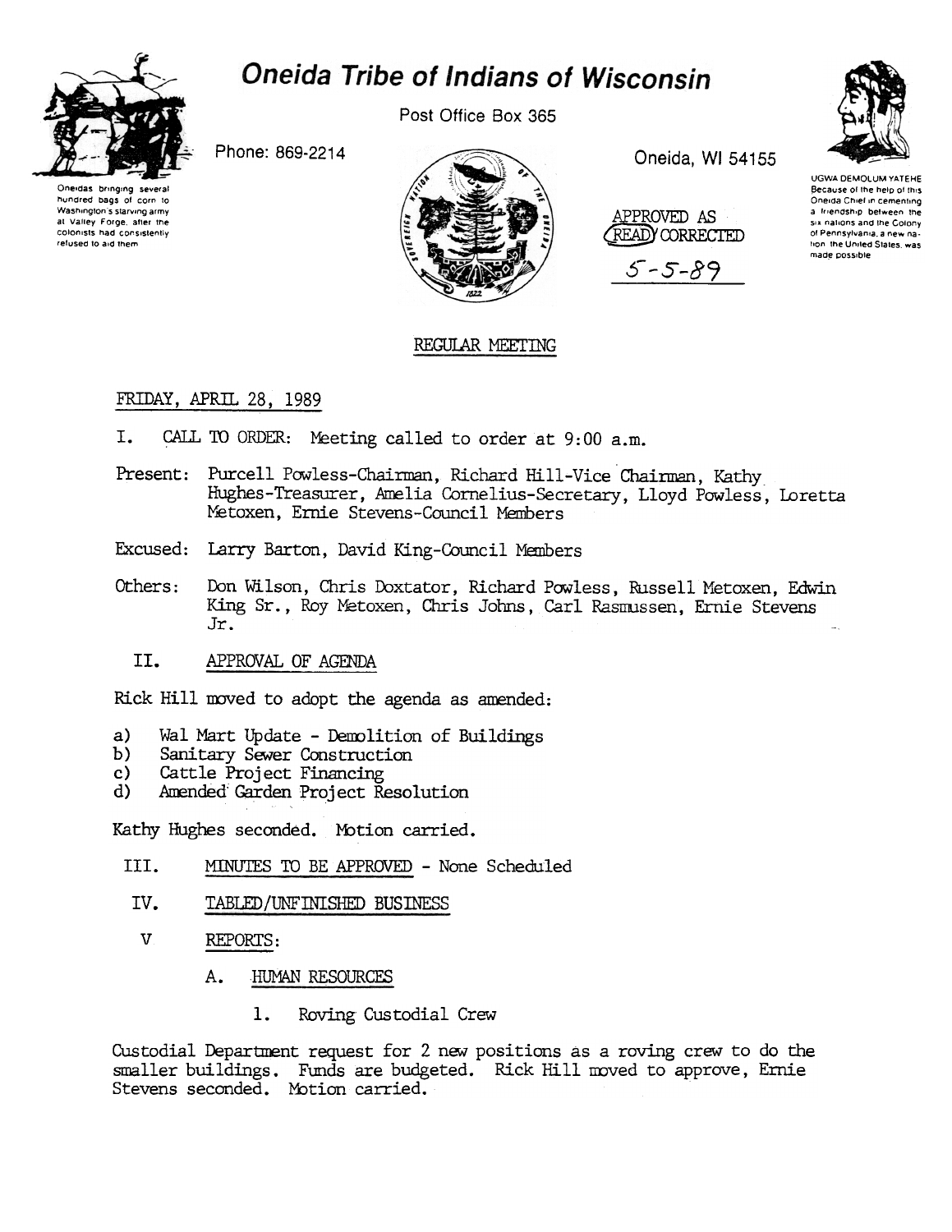

# Oneida Tribe of Indians of Wisconsin

Post Office Box 365

Phone: 869-2214





Oneida, WI 54155





**UGWA DEMOLUM YATEHE** Because of the help of this Oneida Chief in cementing a friendship between the six nations and the Colony of Pennsylvania, a new nation, the United States, was made possible

# REGULAR MEETING

## FRIDAY, APRIL 28, 1989

- CALL TO ORDER: Meeting called to order at 9:00 a.m. T.
- Present: Purcell Powless-Chairman, Richard Hill-Vice Chairman, Kathy Hughes-Treasurer, Amelia Cornelius-Secretary, Lloyd Powless, Loretta Metoxen, Ernie Stevens-Council Members
- Excused: Larry Barton, David King-Council Members
- Don Wilson, Chris Doxtator, Richard Powless, Russell Metoxen, Edwin Others: King Sr., Roy Metoxen, Chris Johns, Carl Rasmussen, Ernie Stevens Jr.
	- II. APPROVAL OF AGENDA

Rick Hill moved to adopt the agenda as amended:

- Wal Mart Update Demolition of Buildings  $a)$
- Sanitary Sewer Construction  $b)$
- Cattle Project Financing  $c)$
- Amended Garden Project Resolution  $\mathbf{d}$

Kathy Hughes seconded. Motion carried.

- III. MINUTES TO BE APPROVED - None Scheduled
- IV. TABLED/UNFINISHED BUSINESS
- $V<sub>1</sub>$ REPORTS:
	- А. HUMAN RESOURCES
		- 1. Roving Custodial Crew

Custodial Department request for 2 new positions as a roving crew to do the smaller buildings. Funds are budgeted. Rick Hill moved to approve, Ernie Stevens seconded. Motion carried.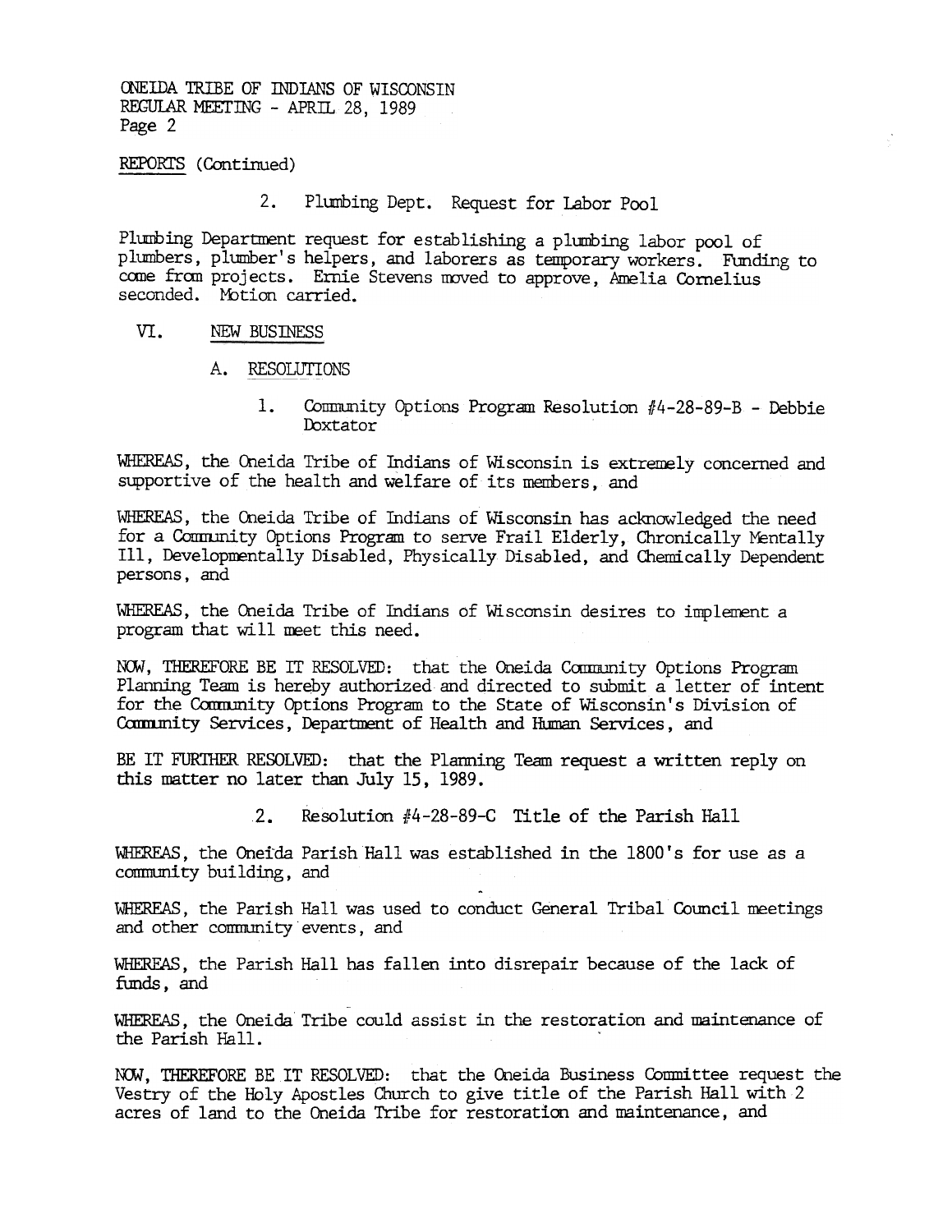ONEIDA TRIBE OF INDIANS OF WISCONSIN REGULAR MEETING - APRIL 28, 1989  $Page 2$ 

REPORTS (Continued)

2. Plumbing Dept. Request for Labor Pool

Plumbing Department request for establishing a plumbing labor pool of plumbers, plumber's helpers, and laborers as temporary workers. Funding to come from projects. Ernie Stevens moved to approve, Amelia Cornelius seconded. Motion carried.

#### VI. NEW BUSmESS

- A. RESOLUTIONS
	- Community Options Program Resolution  $#4-28-89-B$  Debbie 1. Doxtator

WHEREAS, the Oneida Tribe of Indians of Wisconsin is extremely concerned and supportive of the health and welfare of its members, and

WHEREAS, the Oneida Tribe of Indians of Wisconsin has acknowledged the need for a Community Options Program to serve Frail Elderly, Chronically Mentally Ill, Developmentally Disabled, Physically Disabled, and Chemically Dependent persons, and

WHEREAS, the Oneida Tribe of Indians of Wisconsin desires to implement a program that will neet this need.

NOW, THEREFORE BE IT RESOLVED: that the Oneida Community Options Program Planning Team is hereby authorized and directed to submit a letter of intent for the Community Options Program to the State of Wisconsin's Division of Community Services, Department of Health and Human Services, and

BE IT FURTHER RESOLVED: that the Planning Team request a written reply on this matter no later than July 15, 1989.

WHEREAS, the Oneida Parish Hall was established in the 1800's for use as a conmunity build~, and -

WHEREAS, the Parish Hall was used to conduct General Tribal Council meetings and other community events, and

WHEREAS, the Parish Hall has fallen into disrepair because of the lack of funds, and

WHEREAS, the Oneida Tribe could assist in the restoration and maintenance of the Parish Hall.

2. Resolution  $\frac{4}{28-89}$ -C Title of the Parish Hall WHEREAS, the Oneida Parish Hall was established in the 1800's for community building, and<br>MHEREAS, the Parish Hall was used to conduct General Tribal Counciend other c NOW, THEREFORE BE IT RESOLVED: that the Oneida Business Committee request the Vestry of the Holy Apostles Church to give title of the Parish Hall with 2 acres of land to the Oneida Tribe for restoration and maintenance, and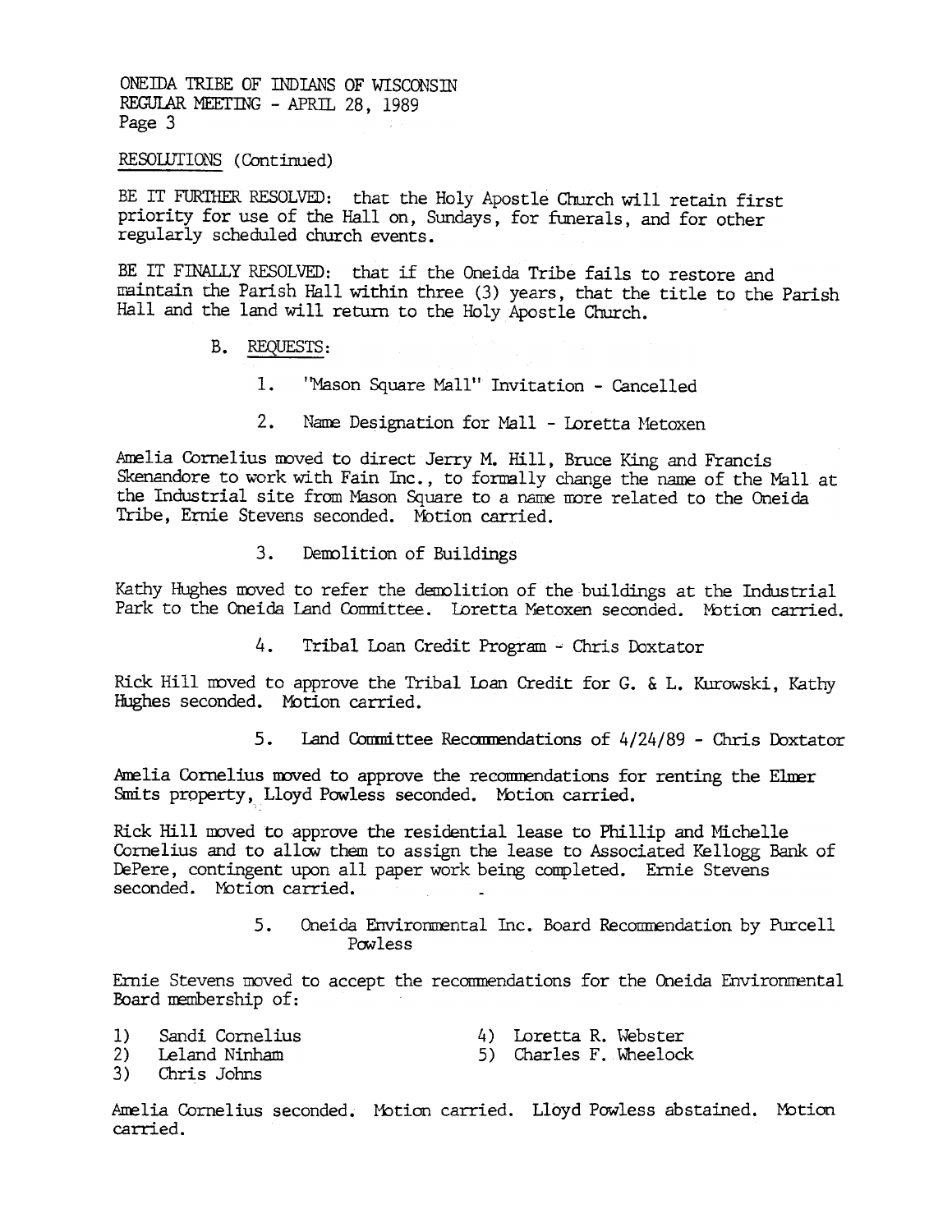ONEIDA TRIBE OF INDIANS OF WISCONSIN REGULAR MEETING - APRIL 28, 1989 Page 3

RESOLUTIONS (Continued)

BE IT FURTHER RESOLVED: that the Holy Apostle Church will retain first priority for use of the Hall on, Sundays, for funerals, and for other regularly scheduled church events.

BE IT FINALLY RESOLVED: that if the Oneida Tribe fails to restore and maintain the Parish Hall within three (3) years, that the title to the Parish Hall and the land will return to the Holy Apostle Church.

- B. REQUESTS:
	- $\mathbb{L}$ 'Mason Square Mall'' Invitation - Cancelled
	- $2.$ Name Designation for Mall - Loretta Metoxen

Amelia Cornelius moved to direct Jerry M. Hill, Bruce King and Francis Skenandore to work with Fain Inc., to formally change the name of the Mall at the Industrial site from Mason Square to a name more related to the Oneida Tribe, Ernie Stevens seconded. Motion carried.

> $3.$ Demolition of Buildings

Kathy Hughes moved to refer the demolition of the buildings at the Industrial Park to the Oneida Land Committee. Loretta Metoxen seconded. Motion carried.

> $4.$ Tribal Loan Credit Program - Chris Doxtator

Rick Hill moved to approve the Tribal Loan Credit for G. & L. Kurowski, Kathy Hughes seconded. Motion carried.

> 5. Land Committee Recommendations of 4/24/89 - Chris Doxtator

Amelia Cornelius moved to approve the recommendations for renting the Elmer Smits property, Lloyd Powless seconded. Motion carried.

Rick Hill moved to approve the residential lease to Phillip and Michelle Cornelius and to allow them to assign the lease to Associated Kellogg Bank of DePere, contingent upon all paper work being completed. Ernie Stevens seconded. Motion carried.

> $5.$ Oneida Environmental Inc. Board Recommendation by Purcell Powless

Ernie Stevens moved to accept the recommendations for the Oneida Environmental Board membership of:

Sandi Cornelius  $1)$ 

4) Loretta R. Webster

 $2)$ Leland Ninham 5) Charles F. Wheelock

 $3)$ Chris Johns

Amelia Cornelius seconded. Motion carried. Lloyd Powless abstained. Motion carried.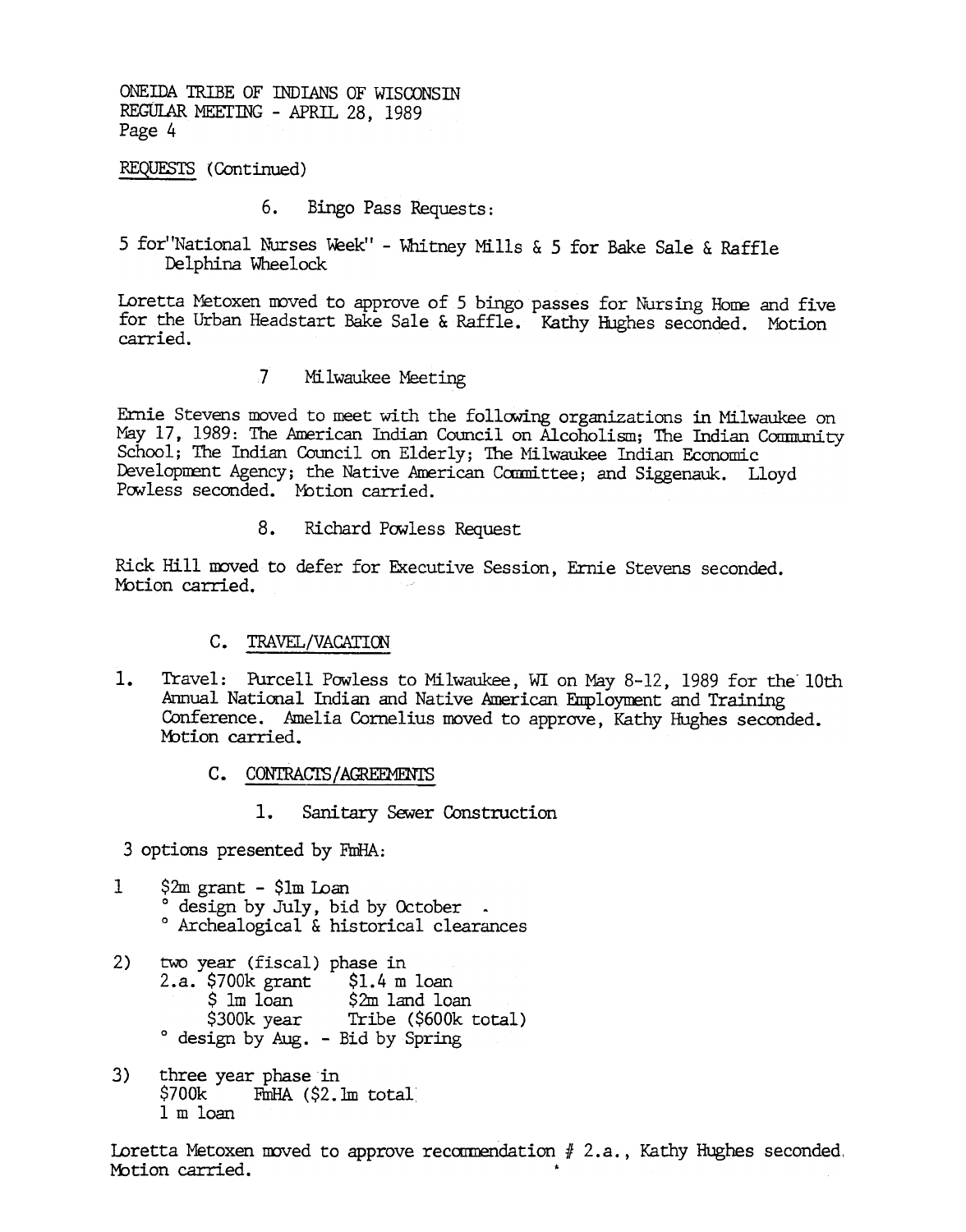ONEIDA 'IRIBE OF INDIANS OF WISOONSIN REGULAR MEETING - APRIL 28, 1989 Page 4

REQUESTS (Continued)

- 6. Bingo Pass Requests:
- 5 for National Nurses Week" Whitney Mills & 5 for Bake Sale & Raff Delphina Wheelock

Loretta Metoxen moved to approve of 5 bingo passes for Nursing Home and five for the Urban Headstart Bake Sale & Raffle. Kathy Hughes seconded. Motion carried.

] Milwaukee Meeting

Ernie Stevens moved to meet with the following organizations in Milwaukee on May 17, 1989: The American Indian Council on Alcoholism; The Indian Community School; The Indian Council on Elderly; The Milwaukee Indian Economic Development Agency; the Native American Committee; and Siggenauk. Lloyd Powless seconded. Motion carried.

> 8. Richard Powless Request

Rick Hill moved to defer for Executive Session, Ernie Stevens seconded. Motion carried.

### C. TRAVEL/VACATION

- 1. Travel: Nurcell Powless to Milwaukee, WI on May 8-12, 1989 for the 10th<br>Armual National Indian and Native American Employment and Training<br>Conference. Amelia Cornelius moved to approve, Kathy Hughes seconded.<br>
Motion ca Annual National Indian and Native American Employment and Training Conference. Amelia Cornelius moved to approve, Kathy Hughes seconded. Motion carried.
	- C. CONTRACTS/AGREEMENTS
		- Sanitary Sewer Construction

3 options presented by FmHA:

- 1 \$2m grant \$1m Loan<br>° design by July, bid by October -° Archealogical & historical clearances
- 2) two year (fiscal) phase in 2.a. \$700k grant \$1.4 m loan \$ 1m loan \$2m land loan \$300k year Tribe (\$600k total) 0 design by h1g. -Bid by Spring
- 3) three year phase in<br>\$700k FinHA (\$2.1  $FmHA$  (\$2.1m total) 1 m loan

Loretta Metoxen moved to approve recommendation  $# 2.a.$ , Kathy Hughes seconded. Motion carried.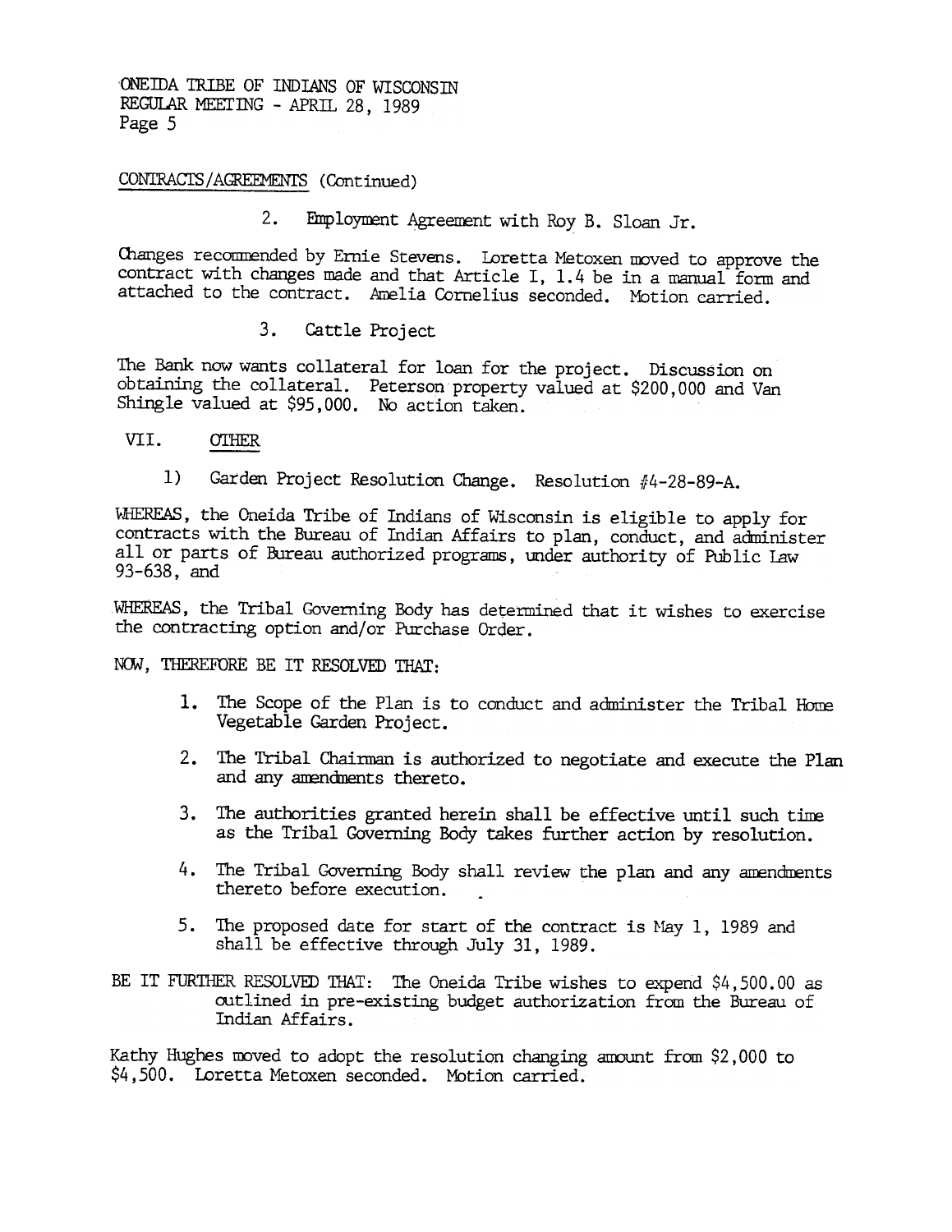ONEIDA TRIBE OF INDIANS OF WISCONSIN REGULAR MEETING - APRIL. 28, 1989 Page 5

# CONTRACTS / AGREEMENTS (Continued)

Employment Agreement with Roy B. Sloan Jr.  $2.$ 

Ohanges recommended by Ernie Stevens. Loretta Metoxen moved to approve the contract with changes made and that Article I, 1.4 be in a manual form and attached to the contract. Amelia Cornelius seconded. Motion carried.

The Bank now wants collateral for loan for the project. Discussion on obtaining the collateral. Peterson property valued at \$200,000 and Van Shingle valued at \$95,000. No action taken.

- VII. OTHER
	- 1) Garden Project Resolution Change. Resolution #4-28-89-A.

3. Cattle Project<br>The Bank now wants collateral for<br>obtaining the collateral for<br>Shingle valued at \$95,000. No acc<br>WII. <u>OTHER</u><br>1) Garden Project Resolution<br>WEEREAS, the Oneida Tribe of India<br>contracts with the Bureau of I WHEREAS, the Oneida Tribe of Indians of Wisconsin is eligible to apply for contracts with the Bureau of Indian Affairs to plan, conduct, and administer all or parts of Bureau authorized programs, under authority of Public law 93-638, and

WHEREAS, the Tribal Governing Body has determined that it wishes to exercise the contracting option and/or Purchase Order.

NOW, THEREFORE BE IT RESOLVED THAT:

- The Scope of the Plan is to conduct and administer the Tribal Horne Vegetable Garden Project.
- 2. The Tribal Chairman is authorized to negotiate and execute the Plan and any anendments thereto.
- 3. The authorities granted herein shall be effective until such time as the Tribal Governing Body takes further action by resolution.
- 4. The Tribal Governing Body shall review the plan and any amendments thereto before execution.
- 5. The proposed date for start of the contract is May 1, 1989 and shall be effective through July 31, 1989.
- BE IT FURTHER RESOLVED THAT: The Oneida Tribe wishes to expend  $$4,500.00$  as outlined in pre-existing budget authorization from the Bureau of Indian Affairs.

Kathy Hughes moved to adopt the resolution changing amount from \$2,000 to \$4,500. Loretta Metoxen seconded. Motion carried..